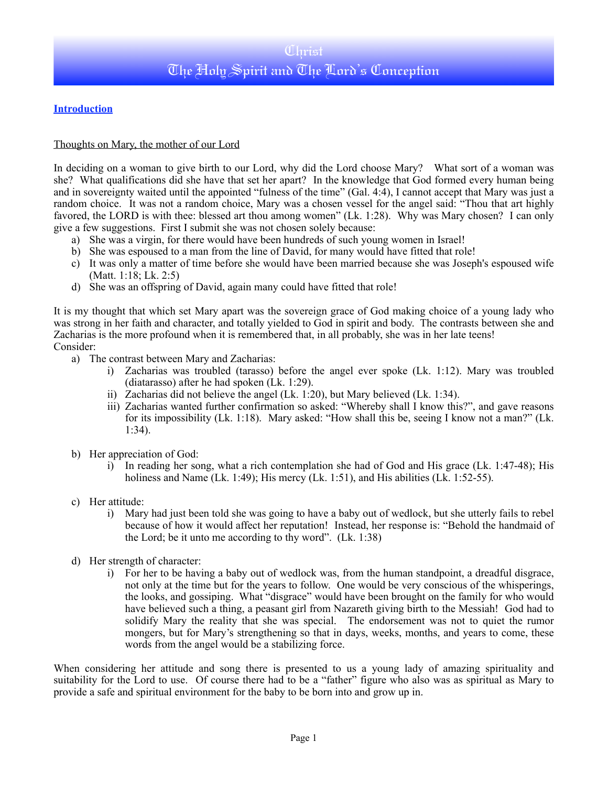## **Introduction**

### Thoughts on Mary, the mother of our Lord

In deciding on a woman to give birth to our Lord, why did the Lord choose Mary? What sort of a woman was she? What qualifications did she have that set her apart? In the knowledge that God formed every human being and in sovereignty waited until the appointed "fulness of the time" (Gal. 4:4), I cannot accept that Mary was just a random choice. It was not a random choice, Mary was a chosen vessel for the angel said: "Thou that art highly favored, the LORD is with thee: blessed art thou among women" (Lk. 1:28). Why was Mary chosen? I can only give a few suggestions. First I submit she was not chosen solely because:

- a) She was a virgin, for there would have been hundreds of such young women in Israel!
- b) She was espoused to a man from the line of David, for many would have fitted that role!
- c) It was only a matter of time before she would have been married because she was Joseph's espoused wife (Matt. 1:18; Lk. 2:5)
- d) She was an offspring of David, again many could have fitted that role!

It is my thought that which set Mary apart was the sovereign grace of God making choice of a young lady who was strong in her faith and character, and totally yielded to God in spirit and body. The contrasts between she and Zacharias is the more profound when it is remembered that, in all probably, she was in her late teens! Consider:

- a) The contrast between Mary and Zacharias:
	- i) Zacharias was troubled (tarasso) before the angel ever spoke (Lk. 1:12). Mary was troubled (diatarasso) after he had spoken (Lk. 1:29).
	- ii) Zacharias did not believe the angel (Lk. 1:20), but Mary believed (Lk. 1:34).
	- iii) Zacharias wanted further confirmation so asked: "Whereby shall I know this?", and gave reasons for its impossibility (Lk. 1:18). Mary asked: "How shall this be, seeing I know not a man?" (Lk. 1:34).
- b) Her appreciation of God:
	- i) In reading her song, what a rich contemplation she had of God and His grace (Lk. 1:47-48); His holiness and Name (Lk. 1:49); His mercy (Lk. 1:51), and His abilities (Lk. 1:52-55).
- c) Her attitude:
	- i) Mary had just been told she was going to have a baby out of wedlock, but she utterly fails to rebel because of how it would affect her reputation! Instead, her response is: "Behold the handmaid of the Lord; be it unto me according to thy word". (Lk. 1:38)
- d) Her strength of character:
	- i) For her to be having a baby out of wedlock was, from the human standpoint, a dreadful disgrace, not only at the time but for the years to follow. One would be very conscious of the whisperings, the looks, and gossiping. What "disgrace" would have been brought on the family for who would have believed such a thing, a peasant girl from Nazareth giving birth to the Messiah! God had to solidify Mary the reality that she was special. The endorsement was not to quiet the rumor mongers, but for Mary's strengthening so that in days, weeks, months, and years to come, these words from the angel would be a stabilizing force.

When considering her attitude and song there is presented to us a young lady of amazing spirituality and suitability for the Lord to use. Of course there had to be a "father" figure who also was as spiritual as Mary to provide a safe and spiritual environment for the baby to be born into and grow up in.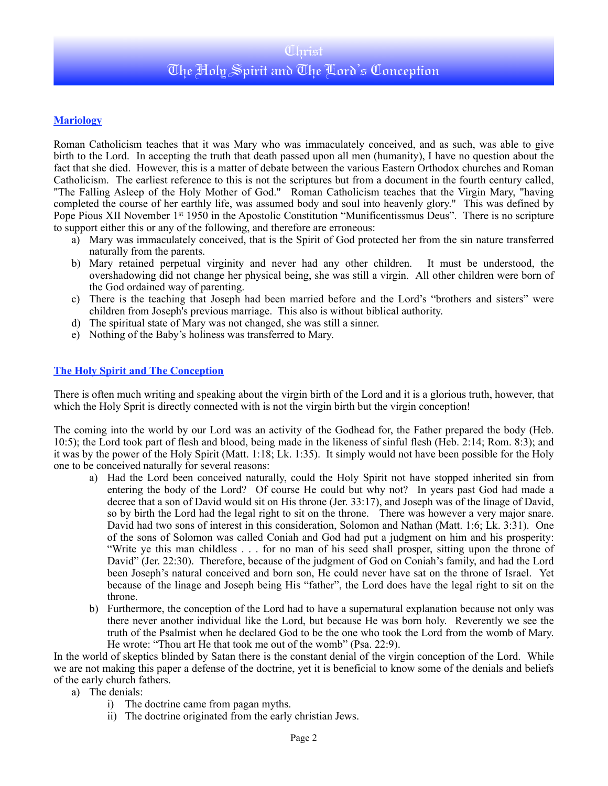# Christ The Holy Spirit and The Lord's Conception

### **Mariology**

Roman Catholicism teaches that it was Mary who was immaculately conceived, and as such, was able to give birth to the Lord. In accepting the truth that death passed upon all men (humanity), I have no question about the fact that she died. However, this is a matter of debate between the various Eastern Orthodox churches and Roman Catholicism. The earliest reference to this is not the scriptures but from a document in the fourth century called, "The Falling Asleep of the Holy Mother of God." Roman Catholicism teaches that the Virgin Mary, "having completed the course of her earthly life, was assumed body and soul into heavenly glory." This was defined by Pope Pious XII November 1<sup>st</sup> 1950 in the Apostolic Constitution "Munificentissmus Deus". There is no scripture to support either this or any of the following, and therefore are erroneous:

- a) Mary was immaculately conceived, that is the Spirit of God protected her from the sin nature transferred naturally from the parents.
- b) Mary retained perpetual virginity and never had any other children. It must be understood, the overshadowing did not change her physical being, she was still a virgin. All other children were born of the God ordained way of parenting.
- c) There is the teaching that Joseph had been married before and the Lord's "brothers and sisters" were children from Joseph's previous marriage. This also is without biblical authority.
- d) The spiritual state of Mary was not changed, she was still a sinner.
- e) Nothing of the Baby's holiness was transferred to Mary.

#### **The Holy Spirit and The Conception**

There is often much writing and speaking about the virgin birth of the Lord and it is a glorious truth, however, that which the Holy Sprit is directly connected with is not the virgin birth but the virgin conception!

The coming into the world by our Lord was an activity of the Godhead for, the Father prepared the body (Heb. 10:5); the Lord took part of flesh and blood, being made in the likeness of sinful flesh (Heb. 2:14; Rom. 8:3); and it was by the power of the Holy Spirit (Matt. 1:18; Lk. 1:35). It simply would not have been possible for the Holy one to be conceived naturally for several reasons:

- a) Had the Lord been conceived naturally, could the Holy Spirit not have stopped inherited sin from entering the body of the Lord? Of course He could but why not? In years past God had made a decree that a son of David would sit on His throne (Jer. 33:17), and Joseph was of the linage of David, so by birth the Lord had the legal right to sit on the throne. There was however a very major snare. David had two sons of interest in this consideration, Solomon and Nathan (Matt. 1:6; Lk. 3:31). One of the sons of Solomon was called Coniah and God had put a judgment on him and his prosperity: "Write ye this man childless . . . for no man of his seed shall prosper, sitting upon the throne of David" (Jer. 22:30). Therefore, because of the judgment of God on Coniah's family, and had the Lord been Joseph's natural conceived and born son, He could never have sat on the throne of Israel. Yet because of the linage and Joseph being His "father", the Lord does have the legal right to sit on the throne.
- b) Furthermore, the conception of the Lord had to have a supernatural explanation because not only was there never another individual like the Lord, but because He was born holy. Reverently we see the truth of the Psalmist when he declared God to be the one who took the Lord from the womb of Mary. He wrote: "Thou art He that took me out of the womb" (Psa. 22:9).

In the world of skeptics blinded by Satan there is the constant denial of the virgin conception of the Lord. While we are not making this paper a defense of the doctrine, yet it is beneficial to know some of the denials and beliefs of the early church fathers.

- a) The denials:
	- i) The doctrine came from pagan myths.
	- ii) The doctrine originated from the early christian Jews.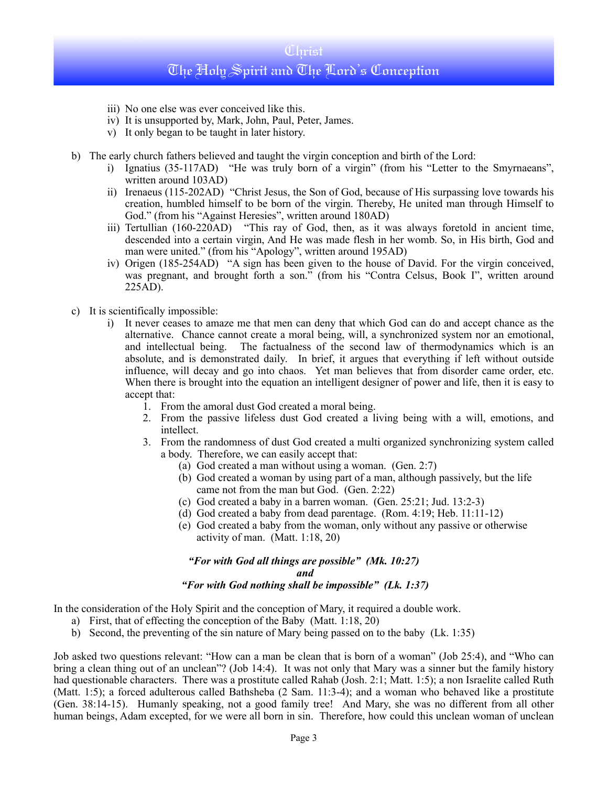# Christ The Holy Spirit and The Lord's Conception

- iii) No one else was ever conceived like this.
- iv) It is unsupported by, Mark, John, Paul, Peter, James.
- v) It only began to be taught in later history.
- b) The early church fathers believed and taught the virgin conception and birth of the Lord:
	- i) Ignatius (35-117AD) "He was truly born of a virgin" (from his "Letter to the Smyrnaeans", written around 103AD)
	- ii) Irenaeus (115-202AD) "Christ Jesus, the Son of God, because of His surpassing love towards his creation, humbled himself to be born of the virgin. Thereby, He united man through Himself to God." (from his "Against Heresies", written around 180AD)
	- iii) Tertullian (160-220AD) "This ray of God, then, as it was always foretold in ancient time, descended into a certain virgin, And He was made flesh in her womb. So, in His birth, God and man were united." (from his "Apology", written around 195AD)
	- iv) Origen (185-254AD) "A sign has been given to the house of David. For the virgin conceived, was pregnant, and brought forth a son." (from his "Contra Celsus, Book I", written around 225AD).
- c) It is scientifically impossible:
	- i) It never ceases to amaze me that men can deny that which God can do and accept chance as the alternative. Chance cannot create a moral being, will, a synchronized system nor an emotional, and intellectual being. The factualness of the second law of thermodynamics which is an absolute, and is demonstrated daily. In brief, it argues that everything if left without outside influence, will decay and go into chaos. Yet man believes that from disorder came order, etc. When there is brought into the equation an intelligent designer of power and life, then it is easy to accept that:
		- 1. From the amoral dust God created a moral being.
		- 2. From the passive lifeless dust God created a living being with a will, emotions, and intellect.
		- 3. From the randomness of dust God created a multi organized synchronizing system called a body. Therefore, we can easily accept that:
			- (a) God created a man without using a woman. (Gen. 2:7)
			- (b) God created a woman by using part of a man, although passively, but the life came not from the man but God. (Gen. 2:22)
			- (c) God created a baby in a barren woman. (Gen. 25:21; Jud. 13:2-3)
			- (d) God created a baby from dead parentage. (Rom. 4:19; Heb. 11:11-12)
			- (e) God created a baby from the woman, only without any passive or otherwise activity of man. (Matt. 1:18, 20)

#### *"For with God all things are possible" (Mk. 10:27) and "For with God nothing shall be impossible" (Lk. 1:37)*

In the consideration of the Holy Spirit and the conception of Mary, it required a double work.

- a) First, that of effecting the conception of the Baby (Matt. 1:18, 20)
- b) Second, the preventing of the sin nature of Mary being passed on to the baby (Lk. 1:35)

Job asked two questions relevant: "How can a man be clean that is born of a woman" (Job 25:4), and "Who can bring a clean thing out of an unclean"? (Job 14:4). It was not only that Mary was a sinner but the family history had questionable characters. There was a prostitute called Rahab (Josh. 2:1; Matt. 1:5); a non Israelite called Ruth (Matt. 1:5); a forced adulterous called Bathsheba (2 Sam. 11:3-4); and a woman who behaved like a prostitute (Gen. 38:14-15). Humanly speaking, not a good family tree! And Mary, she was no different from all other human beings, Adam excepted, for we were all born in sin. Therefore, how could this unclean woman of unclean